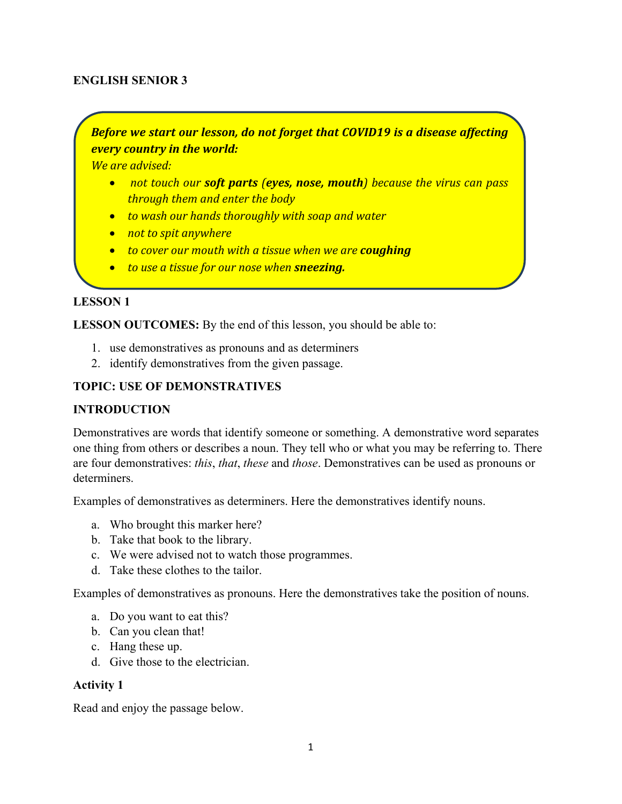### **ENGLISH SENIOR 3**

*Before we start our lesson, do not forget that COVID19 is a disease affecting every country in the world:*

*We are advised:*

- *not touch our soft parts (eyes, nose, mouth) because the virus can pass through them and enter the body*
- *to wash our hands thoroughly with soap and water*
- *not to spit anywhere*
- *to cover our mouth with a tissue when we are coughing*
- *to use a tissue for our nose when sneezing.*

### **LESSON 1**

**LESSON OUTCOMES:** By the end of this lesson, you should be able to:

- 1. use demonstratives as pronouns and as determiners
- 2. identify demonstratives from the given passage.

### **TOPIC: USE OF DEMONSTRATIVES**

### **INTRODUCTION**

Demonstratives are words that identify someone or something. A demonstrative word separates one thing from others or describes a noun. They tell who or what you may be referring to. There are four demonstratives: *this*, *that*, *these* and *those*. Demonstratives can be used as pronouns or determiners.

Examples of demonstratives as determiners. Here the demonstratives identify nouns.

- a. Who brought this marker here?
- b. Take that book to the library.
- c. We were advised not to watch those programmes.
- d. Take these clothes to the tailor.

Examples of demonstratives as pronouns. Here the demonstratives take the position of nouns.

- a. Do you want to eat this?
- b. Can you clean that!
- c. Hang these up.
- d. Give those to the electrician.

### **Activity 1**

Read and enjoy the passage below.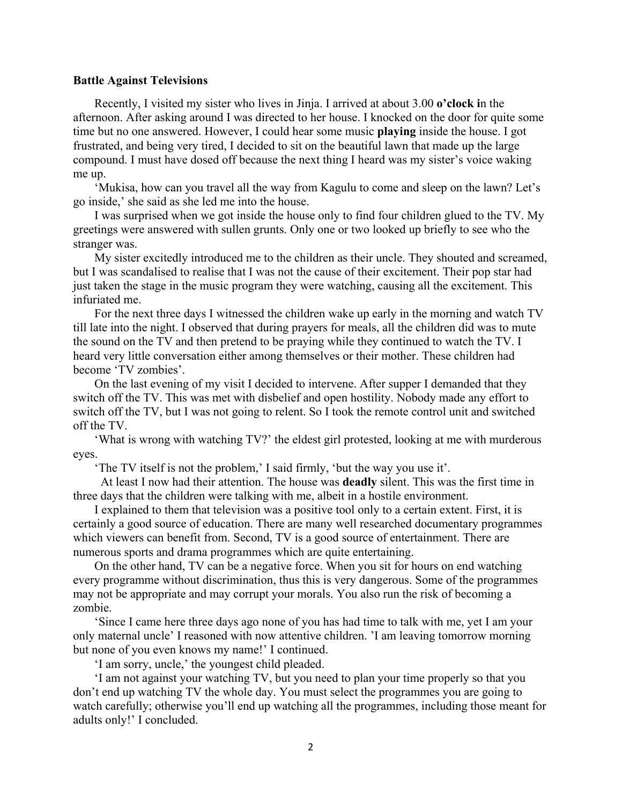#### **Battle Against Televisions**

 Recently, I visited my sister who lives in Jinja. I arrived at about 3.00 **o'clock i**n the afternoon. After asking around I was directed to her house. I knocked on the door for quite some time but no one answered. However, I could hear some music **playing** inside the house. I got frustrated, and being very tired, I decided to sit on the beautiful lawn that made up the large compound. I must have dosed off because the next thing I heard was my sister's voice waking me up.

 'Mukisa, how can you travel all the way from Kagulu to come and sleep on the lawn? Let's go inside,' she said as she led me into the house.

 I was surprised when we got inside the house only to find four children glued to the TV. My greetings were answered with sullen grunts. Only one or two looked up briefly to see who the stranger was.

 My sister excitedly introduced me to the children as their uncle. They shouted and screamed, but I was scandalised to realise that I was not the cause of their excitement. Their pop star had just taken the stage in the music program they were watching, causing all the excitement. This infuriated me.

 For the next three days I witnessed the children wake up early in the morning and watch TV till late into the night. I observed that during prayers for meals, all the children did was to mute the sound on the TV and then pretend to be praying while they continued to watch the TV. I heard very little conversation either among themselves or their mother. These children had become 'TV zombies'.

 On the last evening of my visit I decided to intervene. After supper I demanded that they switch off the TV. This was met with disbelief and open hostility. Nobody made any effort to switch off the TV, but I was not going to relent. So I took the remote control unit and switched off the TV.

 'What is wrong with watching TV?' the eldest girl protested, looking at me with murderous eyes.

'The TV itself is not the problem,' I said firmly, 'but the way you use it'.

 At least I now had their attention. The house was **deadly** silent. This was the first time in three days that the children were talking with me, albeit in a hostile environment.

 I explained to them that television was a positive tool only to a certain extent. First, it is certainly a good source of education. There are many well researched documentary programmes which viewers can benefit from. Second, TV is a good source of entertainment. There are numerous sports and drama programmes which are quite entertaining.

 On the other hand, TV can be a negative force. When you sit for hours on end watching every programme without discrimination, thus this is very dangerous. Some of the programmes may not be appropriate and may corrupt your morals. You also run the risk of becoming a zombie.

 'Since I came here three days ago none of you has had time to talk with me, yet I am your only maternal uncle' I reasoned with now attentive children. 'I am leaving tomorrow morning but none of you even knows my name!' I continued.

'I am sorry, uncle,' the youngest child pleaded.

 'I am not against your watching TV, but you need to plan your time properly so that you don't end up watching TV the whole day. You must select the programmes you are going to watch carefully; otherwise you'll end up watching all the programmes, including those meant for adults only!' I concluded.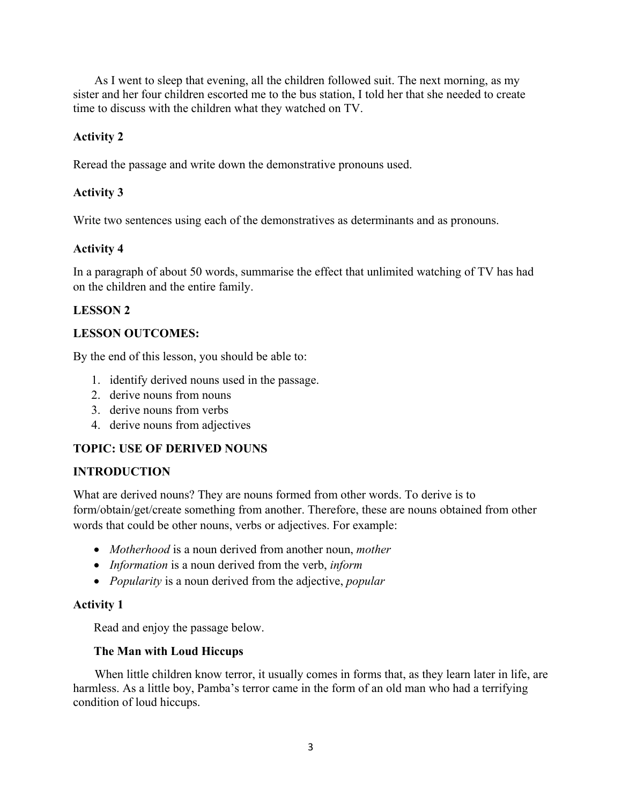As I went to sleep that evening, all the children followed suit. The next morning, as my sister and her four children escorted me to the bus station, I told her that she needed to create time to discuss with the children what they watched on TV.

# **Activity 2**

Reread the passage and write down the demonstrative pronouns used.

# **Activity 3**

Write two sentences using each of the demonstratives as determinants and as pronouns.

# **Activity 4**

In a paragraph of about 50 words, summarise the effect that unlimited watching of TV has had on the children and the entire family.

# **LESSON 2**

## **LESSON OUTCOMES:**

By the end of this lesson, you should be able to:

- 1. identify derived nouns used in the passage.
- 2. derive nouns from nouns
- 3. derive nouns from verbs
- 4. derive nouns from adjectives

## **TOPIC: USE OF DERIVED NOUNS**

## **INTRODUCTION**

What are derived nouns? They are nouns formed from other words. To derive is to form/obtain/get/create something from another. Therefore, these are nouns obtained from other words that could be other nouns, verbs or adjectives. For example:

- *Motherhood* is a noun derived from another noun, *mother*
- *Information* is a noun derived from the verb, *inform*
- *Popularity* is a noun derived from the adjective, *popular*

## **Activity 1**

Read and enjoy the passage below.

## **The Man with Loud Hiccups**

 When little children know terror, it usually comes in forms that, as they learn later in life, are harmless. As a little boy, Pamba's terror came in the form of an old man who had a terrifying condition of loud hiccups.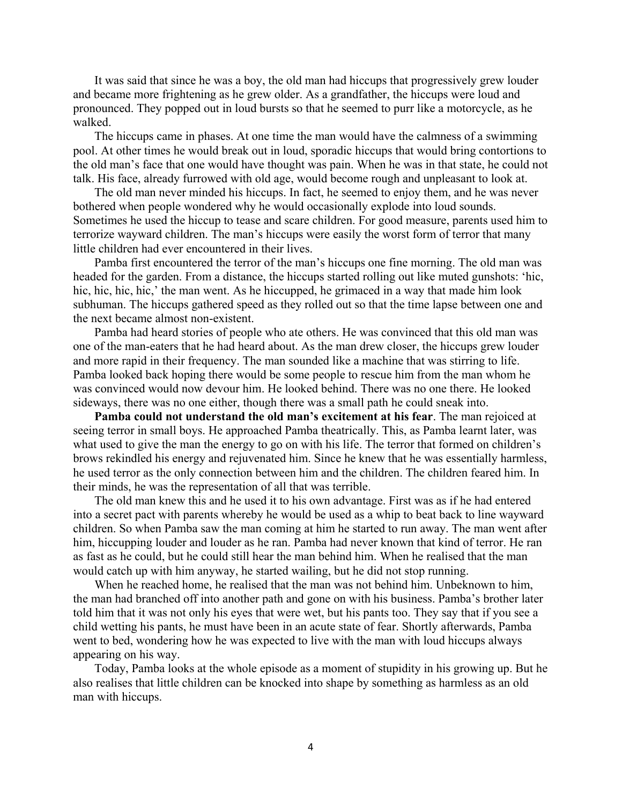It was said that since he was a boy, the old man had hiccups that progressively grew louder and became more frightening as he grew older. As a grandfather, the hiccups were loud and pronounced. They popped out in loud bursts so that he seemed to purr like a motorcycle, as he walked.

 The hiccups came in phases. At one time the man would have the calmness of a swimming pool. At other times he would break out in loud, sporadic hiccups that would bring contortions to the old man's face that one would have thought was pain. When he was in that state, he could not talk. His face, already furrowed with old age, would become rough and unpleasant to look at.

 The old man never minded his hiccups. In fact, he seemed to enjoy them, and he was never bothered when people wondered why he would occasionally explode into loud sounds. Sometimes he used the hiccup to tease and scare children. For good measure, parents used him to terrorize wayward children. The man's hiccups were easily the worst form of terror that many little children had ever encountered in their lives.

 Pamba first encountered the terror of the man's hiccups one fine morning. The old man was headed for the garden. From a distance, the hiccups started rolling out like muted gunshots: 'hic, hic, hic, hic, hic,' the man went. As he hiccupped, he grimaced in a way that made him look subhuman. The hiccups gathered speed as they rolled out so that the time lapse between one and the next became almost non-existent.

 Pamba had heard stories of people who ate others. He was convinced that this old man was one of the man-eaters that he had heard about. As the man drew closer, the hiccups grew louder and more rapid in their frequency. The man sounded like a machine that was stirring to life. Pamba looked back hoping there would be some people to rescue him from the man whom he was convinced would now devour him. He looked behind. There was no one there. He looked sideways, there was no one either, though there was a small path he could sneak into.

 **Pamba could not understand the old man's excitement at his fear**. The man rejoiced at seeing terror in small boys. He approached Pamba theatrically. This, as Pamba learnt later, was what used to give the man the energy to go on with his life. The terror that formed on children's brows rekindled his energy and rejuvenated him. Since he knew that he was essentially harmless, he used terror as the only connection between him and the children. The children feared him. In their minds, he was the representation of all that was terrible.

 The old man knew this and he used it to his own advantage. First was as if he had entered into a secret pact with parents whereby he would be used as a whip to beat back to line wayward children. So when Pamba saw the man coming at him he started to run away. The man went after him, hiccupping louder and louder as he ran. Pamba had never known that kind of terror. He ran as fast as he could, but he could still hear the man behind him. When he realised that the man would catch up with him anyway, he started wailing, but he did not stop running.

 When he reached home, he realised that the man was not behind him. Unbeknown to him, the man had branched off into another path and gone on with his business. Pamba's brother later told him that it was not only his eyes that were wet, but his pants too. They say that if you see a child wetting his pants, he must have been in an acute state of fear. Shortly afterwards, Pamba went to bed, wondering how he was expected to live with the man with loud hiccups always appearing on his way.

 Today, Pamba looks at the whole episode as a moment of stupidity in his growing up. But he also realises that little children can be knocked into shape by something as harmless as an old man with hiccups.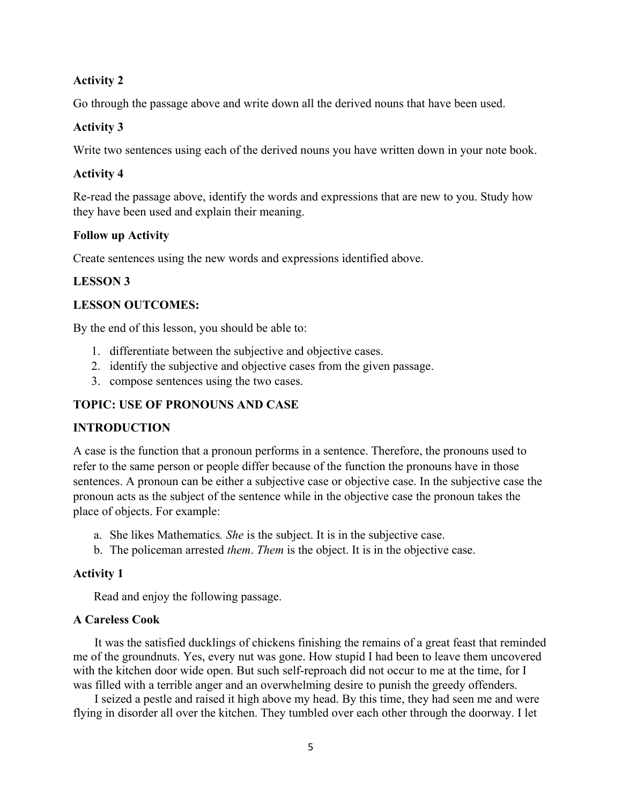### **Activity 2**

Go through the passage above and write down all the derived nouns that have been used.

### **Activity 3**

Write two sentences using each of the derived nouns you have written down in your note book.

#### **Activity 4**

Re-read the passage above, identify the words and expressions that are new to you. Study how they have been used and explain their meaning.

#### **Follow up Activity**

Create sentences using the new words and expressions identified above.

#### **LESSON 3**

#### **LESSON OUTCOMES:**

By the end of this lesson, you should be able to:

- 1. differentiate between the subjective and objective cases.
- 2. identify the subjective and objective cases from the given passage.
- 3. compose sentences using the two cases.

#### **TOPIC: USE OF PRONOUNS AND CASE**

#### **INTRODUCTION**

A case is the function that a pronoun performs in a sentence. Therefore, the pronouns used to refer to the same person or people differ because of the function the pronouns have in those sentences. A pronoun can be either a subjective case or objective case. In the subjective case the pronoun acts as the subject of the sentence while in the objective case the pronoun takes the place of objects. For example:

- a. She likes Mathematics*. She* is the subject. It is in the subjective case.
- b. The policeman arrested *them*. *Them* is the object. It is in the objective case.

#### **Activity 1**

Read and enjoy the following passage.

#### **A Careless Cook**

 It was the satisfied ducklings of chickens finishing the remains of a great feast that reminded me of the groundnuts. Yes, every nut was gone. How stupid I had been to leave them uncovered with the kitchen door wide open. But such self-reproach did not occur to me at the time, for I was filled with a terrible anger and an overwhelming desire to punish the greedy offenders.

 I seized a pestle and raised it high above my head. By this time, they had seen me and were flying in disorder all over the kitchen. They tumbled over each other through the doorway. I let